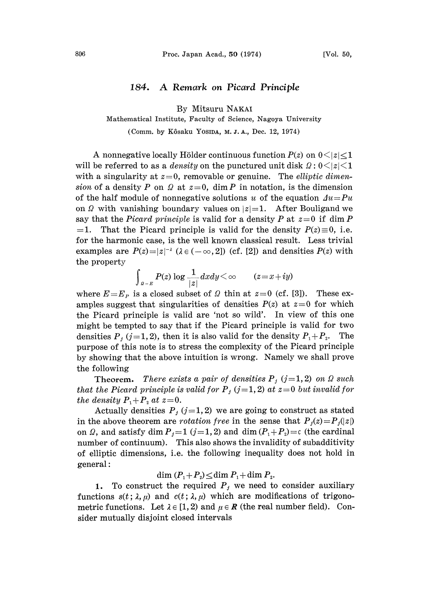## 184. A Remark on Picard Principle

By Mitsuru NAKAI

Mathematical Institute, Faculty of Science, Nagoya University

(Comm. by Kôsaku Yosida, M. J. A., Dec. 12, 1974)

A nonnegative locally Hölder continuous function  $P(z)$  on  $0 \le |z| \le 1$ will be referred to as a *density* on the punctured unit disk  $\Omega: 0 \leq |z| \leq 1$ with a singularity at  $z=0$ , removable or genuine. The *elliptic dimen*sion of a density P on  $\Omega$  at  $z=0$ , dim P in notation, is the dimension of the half module of nonnegative solutions u of the equation  $Au=Pu$ on  $\Omega$  with vanishing boundary values on  $|z|=1$ . After Bouligand we say that the *Picard principle* is valid for a density P at  $z=0$  if dim P  $=1$ . That the Picard principle is valid for the density  $P(z)\equiv 0$ , i.e. for the harmonic case, is the well known classical result. Less trivial examples are  $P(z)=|z|^{-\lambda}$  ( $\lambda \in (-\infty, 2]$ ) (cf. [2]) and densities  $P(z)$  with the property the property

 $\int_{|a-x|} P(z) \log \frac{1}{|z|} dx dy < \infty$   $(z=x+iy)$ 

where  $E=E_p$  is a closed subset of  $\Omega$  thin at  $z=0$  (cf. [3]). These examples suggest that singularities of densities  $P(z)$  at  $z=0$  for which the Picard principle is valid are 'not so wild'. In view of this one might be tempted to say that if the Picard principle is valid for two densities  $P_j$  (j=1, 2), then it is also valid for the density  $P_1 + P_2$ . The purpose of this note is to stress the complexity of the Picard principle by showing that the above intuition is wrong. Namely we shall prove the following

**Theorem.** There exists a pair of densities  $P_j$  (j=1,2) on  $\Omega$  such that the Picard principle is valid for  $P_j$  (j=1,2) at z=0 but invalid for the density  $P_1 + P_2$  at  $z=0$ .

Actually densities  $P_j$  ( $j=1, 2$ ) we are going to construct as stated in the above theorem are *rotation free* in the sense that  $P_j(z) = P_j(|z|)$ on  $\Omega$ , and satisfy dim  $P_i=1$  ( $i=1, 2$ ) and dim  $(P_1 + P_2) = c$  (the cardinal number of continuum). This also shows the invalidity of subadditivity of elliptic dimensions, i.e. the following inequality does not hold in general:

dim  $(P_1+P_2)\leq$ dim  $P_1+$  dim  $P_2$ .

1. To construct the required  $P_j$  we need to consider auxiliary functions  $s(t; \lambda, \mu)$  and  $c(t; \lambda, \mu)$  which are modifications of trigonometric functions. Let  $\lambda \in [1, 2)$  and  $\mu \in \mathbb{R}$  (the real number field). Consider mutually disjoint closed intervals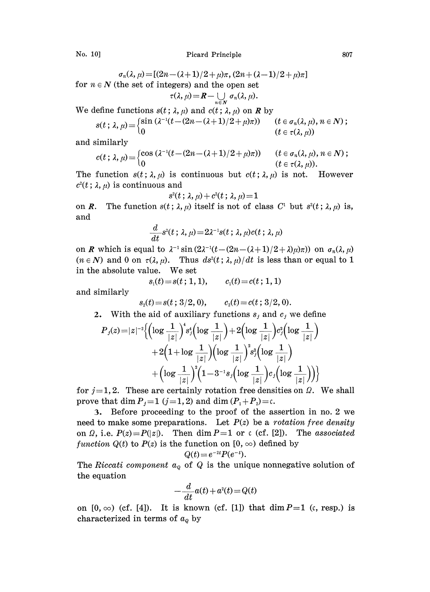No. 10] Picard Principle 807

$$
\sigma_n(\lambda, \mu) = [(2n - (\lambda + 1)/2 + \mu)\pi, (2n + (\lambda - 1)/2 + \mu)\pi]
$$
  
for  $n \in \mathbb{N}$  (the set of integers) and the open set  

$$
\tau(\lambda, \mu) = R - \bigcup_{n \in \mathbb{N}} \sigma_n(\lambda, \mu).
$$

We define functions  $s(t; \lambda, \mu)$  and  $c(t; \lambda, \mu)$  on **R** by

$$
s(t; \lambda, \mu) = \begin{cases} \sin(\lambda^{-1}(t - (2n - (\lambda + 1)/2 + \mu)\pi)) & (t \in \sigma_n(\lambda, \mu), n \in N) \\ 0 & (t \in \tau(\lambda, \mu)) \end{cases}
$$

and similarly

$$
c(t; \lambda, \mu) = \begin{cases} \cos(\lambda^{-1}(t - (2n - (\lambda + 1)/2 + \mu)\pi)) & (t \in \sigma_n(\lambda, \mu), n \in N); \\ 0 & (t \in \tau(\lambda, \mu)). \end{cases}
$$

The function  $s(t; \lambda, \mu)$  is continuous but  $c(t; \lambda, \mu)$  is not. However  $c^2(t; \lambda, \mu)$  is continuous and

$$
s^{\scriptscriptstyle 2}(t\,;\,\lambda,\mu) + c^{\scriptscriptstyle 2}(t\,;\,\lambda,\mu) \!=\! 1
$$

on R. The function  $s(t; \lambda, \mu)$  itself is not of class C<sup>1</sup> but  $s^2(t; \lambda, \mu)$  is, and

$$
\frac{d}{dt}s^2(t; \lambda, \mu) = 2\lambda^{-1}s(t; \lambda, \mu)c(t; \lambda, \mu)
$$

on **R** which is equal to  $\lambda^{-1}$  sin  $(2\lambda^{-1}(t - (2n - (\lambda + 1)/2 + \lambda)\mu)\pi)$  on  $\sigma_n(\lambda, \mu)$  $(n \in N)$  and 0 on  $\tau(\lambda, \mu)$ . Thus  $ds^2(t; \lambda, \mu)/dt$  is less than or equal to 1 in the absolute value. We set

$$
s_i(t) = s(t; 1, 1), \qquad c_i(t) = c(t; 1, 1)
$$

and similarly

 $s_2(t)=s(t; 3/2, 0),$   $c_2(t)=c(t; 3/2, 0).$ 

2. With the aid of auxiliary functions  $s_j$  and  $c_j$  we define

$$
s_2(t)=s(t\,;\,3/2,\,0),\qquad c_2(t)=c(t\,;\,3/2,\,0).
$$
\nWith the aid of auxiliary functions  $s_j$  and  $c_j$  we define

\n
$$
P_j(z)=|z|^{-2}\Big\{\Big(\log\frac{1}{|z|}\Big)^4s_j^4\Big(\log\frac{1}{|z|}\Big)+2\Big(\log\frac{1}{|z|}\Big)c_j^2\Big(\log\frac{1}{|z|}\Big)
$$
\n
$$
+2\Big(1+\log\frac{1}{|z|}\Big)\Big(\log\frac{1}{|z|}\Big)^2s_j^2\Big(\log\frac{1}{|z|}\Big)
$$
\n
$$
+\Big(\log\frac{1}{|z|}\Big)^2\Big(1-3^{-1}s_j\Big(\log\frac{1}{|z|}\Big)c_j\Big(\log\frac{1}{|z|}\Big)\Big)\Big\}
$$
\n1.9. The solution is the limit of the solution is

for  $j=1, 2$ . These are certainly rotation free densities on  $\Omega$ . We shall prove that dim  $P_j=1$   $(j=1, 2)$  and dim  $(P_1+P_2)=c$ .

3. Before proceeding to the proof of the assertion in no. 2 we need to make some preparations. Let  $P(z)$  be a *rotation free density* on  $\Omega$ , i.e.  $P(z)=P(|z|)$ . Then dim  $P=1$  or c (cf. [2]). The associated function  $Q(t)$  to  $P(z)$  is the function on  $[0, \infty)$  defined by

$$
Q(t) = e^{-2t} P(e^{-t}).
$$

The Riccati component  $a_{\varrho}$  of Q is the unique nonnegative solution of the equation

$$
-\frac{d}{dt}a(t) + a^2(t) = Q(t)
$$

on  $[0, \infty)$  (cf. [4]). It is known (cf. [1]) that dim  $P=1$  (c, resp.) is characterized in terms of  $a_q$  by